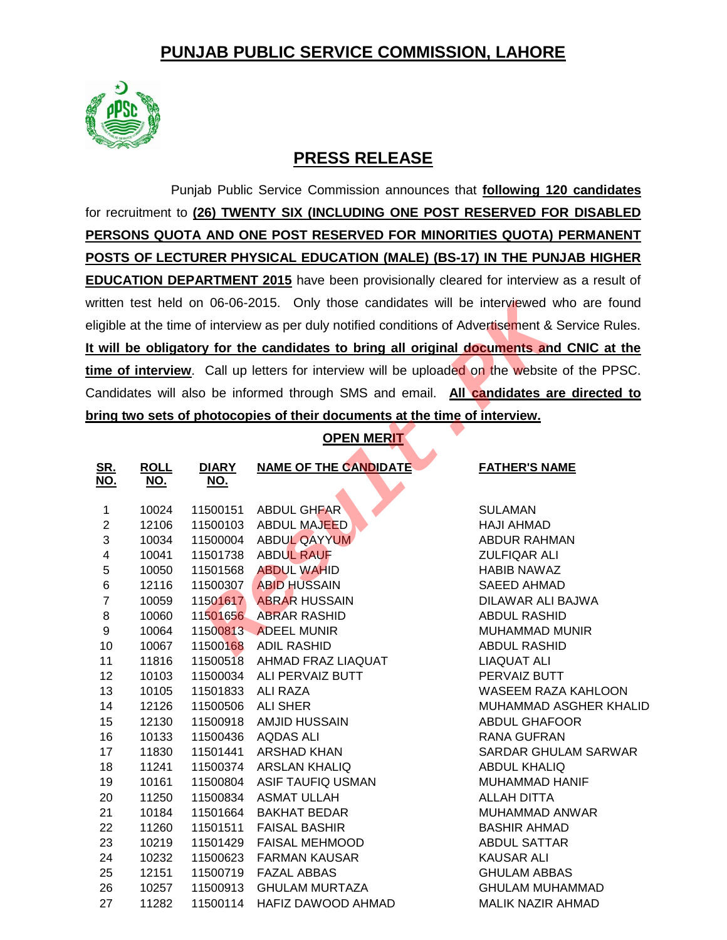# **PUNJAB PUBLIC SERVICE COMMISSION, LAHORE**



## **PRESS RELEASE**

Punjab Public Service Commission announces that **following 120 candidates** for recruitment to **(26) TWENTY SIX (INCLUDING ONE POST RESERVED FOR DISABLED PERSONS QUOTA AND ONE POST RESERVED FOR MINORITIES QUOTA) PERMANENT POSTS OF LECTURER PHYSICAL EDUCATION (MALE) (BS-17) IN THE PUNJAB HIGHER EDUCATION DEPARTMENT 2015** have been provisionally cleared for interview as a result of written test held on 06-06-2015. Only those candidates will be interviewed who are found eligible at the time of interview as per duly notified conditions of Advertisement & Service Rules. **It will be obligatory for the candidates to bring all original documents and CNIC at the time of interview**. Call up letters for interview will be uploaded on the website of the PPSC. Candidates will also be informed through SMS and email. **All candidates are directed to bring two sets of photocopies of their documents at the time of interview.**

### **OPEN MERIT**

| ligible at the time of interview as per duly notified conditions of Advertisement & Service Rules. |             |              |                              |                          |  |  |  |  |  |
|----------------------------------------------------------------------------------------------------|-------------|--------------|------------------------------|--------------------------|--|--|--|--|--|
| will be obligatory for the candidates to bring all original documents and CNIC at the              |             |              |                              |                          |  |  |  |  |  |
|                                                                                                    |             |              |                              |                          |  |  |  |  |  |
| me of interview. Call up letters for interview will be uploaded on the website of the PPSC.        |             |              |                              |                          |  |  |  |  |  |
| andidates will also be informed through SMS and email. All candidates are directed to              |             |              |                              |                          |  |  |  |  |  |
| ring two sets of photocopies of their documents at the time of interview.                          |             |              |                              |                          |  |  |  |  |  |
| <b>OPEN MERIT</b>                                                                                  |             |              |                              |                          |  |  |  |  |  |
|                                                                                                    |             |              |                              |                          |  |  |  |  |  |
| <u>SR.</u>                                                                                         | <b>ROLL</b> | <b>DIARY</b> | <b>NAME OF THE CANDIDATE</b> | <b>FATHER'S NAME</b>     |  |  |  |  |  |
| <u>NO.</u>                                                                                         | <u>NO.</u>  | <u>NO.</u>   |                              |                          |  |  |  |  |  |
| $\mathbf{1}$                                                                                       | 10024       | 11500151     | ABDUL GHFAR                  | <b>SULAMAN</b>           |  |  |  |  |  |
| $\overline{c}$                                                                                     | 12106       | 11500103     | <b>ABDUL MAJEED</b>          | <b>HAJI AHMAD</b>        |  |  |  |  |  |
| 3                                                                                                  | 10034       | 11500004     | ABDUL QAYYUM                 | ABDUR RAHMAN             |  |  |  |  |  |
| $\overline{\mathbf{4}}$                                                                            | 10041       | 11501738     | <b>ABDUL RAUF</b>            | <b>ZULFIQAR ALI</b>      |  |  |  |  |  |
| 5                                                                                                  | 10050       | 11501568     | <b>ABDUL WAHID</b>           | <b>HABIB NAWAZ</b>       |  |  |  |  |  |
| 6                                                                                                  | 12116       | 11500307     | <b>ABID HUSSAIN</b>          | <b>SAEED AHMAD</b>       |  |  |  |  |  |
| $\overline{7}$                                                                                     | 10059       | 11501617     | <b>ABRAR HUSSAIN</b>         | DILAWAR ALI BAJWA        |  |  |  |  |  |
| 8                                                                                                  | 10060       | 11501656     | <b>ABRAR RASHID</b>          | <b>ABDUL RASHID</b>      |  |  |  |  |  |
| 9                                                                                                  | 10064       | 11500813     | <b>ADEEL MUNIR</b>           | MUHAMMAD MUNIR           |  |  |  |  |  |
| 10                                                                                                 | 10067       |              | 11500168 ADIL RASHID         | <b>ABDUL RASHID</b>      |  |  |  |  |  |
| 11                                                                                                 | 11816       | 11500518     | AHMAD FRAZ LIAQUAT           | <b>LIAQUAT ALI</b>       |  |  |  |  |  |
| 12                                                                                                 | 10103       | 11500034     | ALI PERVAIZ BUTT             | PERVAIZ BUTT             |  |  |  |  |  |
| 13                                                                                                 | 10105       | 11501833     | <b>ALI RAZA</b>              | WASEEM RAZA KAHLOON      |  |  |  |  |  |
| 14                                                                                                 | 12126       | 11500506     | <b>ALI SHER</b>              | MUHAMMAD ASGHER KHALID   |  |  |  |  |  |
| 15                                                                                                 | 12130       | 11500918     | <b>AMJID HUSSAIN</b>         | <b>ABDUL GHAFOOR</b>     |  |  |  |  |  |
| 16                                                                                                 | 10133       | 11500436     | <b>AQDAS ALI</b>             | <b>RANA GUFRAN</b>       |  |  |  |  |  |
| 17                                                                                                 | 11830       | 11501441     | ARSHAD KHAN                  | SARDAR GHULAM SARWAR     |  |  |  |  |  |
| 18                                                                                                 | 11241       | 11500374     | <b>ARSLAN KHALIQ</b>         | <b>ABDUL KHALIQ</b>      |  |  |  |  |  |
| 19                                                                                                 | 10161       | 11500804     | ASIF TAUFIQ USMAN            | MUHAMMAD HANIF           |  |  |  |  |  |
| 20                                                                                                 | 11250       | 11500834     | <b>ASMAT ULLAH</b>           | <b>ALLAH DITTA</b>       |  |  |  |  |  |
| 21                                                                                                 | 10184       | 11501664     | <b>BAKHAT BEDAR</b>          | MUHAMMAD ANWAR           |  |  |  |  |  |
| 22                                                                                                 | 11260       | 11501511     | <b>FAISAL BASHIR</b>         | <b>BASHIR AHMAD</b>      |  |  |  |  |  |
| 23                                                                                                 | 10219       | 11501429     | FAISAL MEHMOOD               | <b>ABDUL SATTAR</b>      |  |  |  |  |  |
| 24                                                                                                 | 10232       | 11500623     | <b>FARMAN KAUSAR</b>         | <b>KAUSAR ALI</b>        |  |  |  |  |  |
| 25                                                                                                 | 12151       | 11500719     | <b>FAZAL ABBAS</b>           | <b>GHULAM ABBAS</b>      |  |  |  |  |  |
| 26                                                                                                 | 10257       | 11500913     | <b>GHULAM MURTAZA</b>        | <b>GHULAM MUHAMMAD</b>   |  |  |  |  |  |
| 27                                                                                                 | 11282       | 11500114     | HAFIZ DAWOOD AHMAD           | <b>MALIK NAZIR AHMAD</b> |  |  |  |  |  |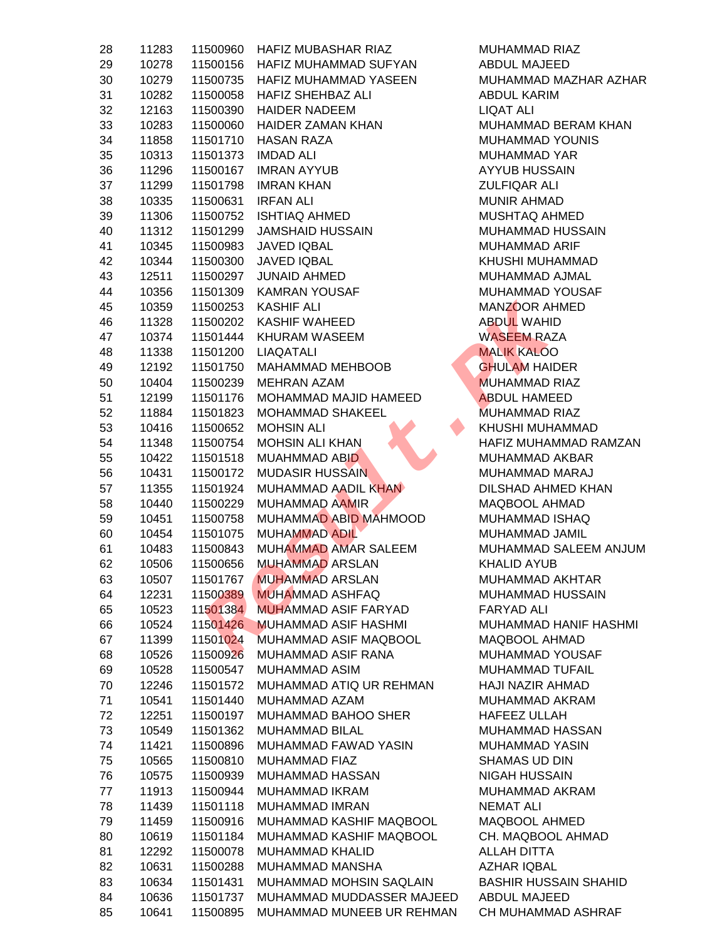| 28 | 11283 | 11500960 | HAFIZ MUBASHAR RIAZ         | MUHAMMAD            |
|----|-------|----------|-----------------------------|---------------------|
| 29 | 10278 | 11500156 | HAFIZ MUHAMMAD SUFYAN       | <b>ABDUL MAJE</b>   |
| 30 | 10279 | 11500735 | HAFIZ MUHAMMAD YASEEN       | MUHAMMAD            |
| 31 | 10282 | 11500058 | HAFIZ SHEHBAZ ALI           | <b>ABDUL KARIN</b>  |
| 32 | 12163 | 11500390 | <b>HAIDER NADEEM</b>        | <b>LIQAT ALI</b>    |
| 33 | 10283 | 11500060 | <b>HAIDER ZAMAN KHAN</b>    | MUHAMMAD            |
| 34 | 11858 | 11501710 | <b>HASAN RAZA</b>           | MUHAMMAD            |
| 35 | 10313 | 11501373 | <b>IMDAD ALI</b>            | MUHAMMAD            |
| 36 | 11296 | 11500167 | <b>IMRAN AYYUB</b>          | <b>AYYUB HUSS</b>   |
| 37 | 11299 | 11501798 | <b>IMRAN KHAN</b>           | <b>ZULFIQAR AL</b>  |
| 38 | 10335 | 11500631 | <b>IRFAN ALI</b>            | <b>MUNIR AHMA</b>   |
| 39 | 11306 | 11500752 | <b>ISHTIAQ AHMED</b>        | MUSHTAQ AF          |
| 40 | 11312 | 11501299 | <b>JAMSHAID HUSSAIN</b>     | MUHAMMAD            |
| 41 | 10345 | 11500983 | <b>JAVED IQBAL</b>          | <b>MUHAMMAD</b>     |
| 42 | 10344 | 11500300 | <b>JAVED IQBAL</b>          | <b>KHUSHI MUH</b>   |
| 43 | 12511 | 11500297 | <b>JUNAID AHMED</b>         | MUHAMMAD.           |
| 44 | 10356 | 11501309 | <b>KAMRAN YOUSAF</b>        | MUHAMMAD            |
| 45 | 10359 | 11500253 | <b>KASHIF ALI</b>           | MANZOOR AI          |
| 46 | 11328 | 11500202 | <b>KASHIF WAHEED</b>        | <b>ABDUL WAHI</b>   |
| 47 | 10374 | 11501444 | KHURAM WASEEM               | <b>WASEEM RAZ</b>   |
| 48 | 11338 | 11501200 | LIAQATALI                   | <b>MALIK KALOO</b>  |
| 49 | 12192 | 11501750 | MAHAMMAD MEHBOOB            | <b>GHULAM HAI</b>   |
| 50 | 10404 | 11500239 | <b>MEHRAN AZAM</b>          | <b>MUHAMMAD</b>     |
| 51 | 12199 | 11501176 | MOHAMMAD MAJID HAMEED       | <b>ABDUL HAME</b>   |
| 52 | 11884 | 11501823 | MOHAMMAD SHAKEEL            | <b>MUHAMMAD</b>     |
| 53 | 10416 | 11500652 | <b>MOHSIN ALI</b>           | <b>KHUSHI MUH</b>   |
| 54 | 11348 | 11500754 | <b>MOHSIN ALI KHAN</b>      | <b>HAFIZ MUHAI</b>  |
| 55 | 10422 | 11501518 | MUAHMMAD ABID               | MUHAMMAD.           |
| 56 | 10431 | 11500172 | <b>MUDASIR HUSSAIN</b>      | MUHAMMAD            |
| 57 | 11355 | 11501924 | MUHAMMAD AADIL KHAN         | <b>DILSHAD AHN</b>  |
| 58 | 10440 | 11500229 | <b>MUHAMMAD AAMIR</b>       | MAQBOOL AF          |
| 59 | 10451 | 11500758 | MUHAMMAD ABID MAHMOOD       | MUHAMMAD            |
| 60 | 10454 | 11501075 | <b>MUHAMMAD ADIL</b>        | <b>MUHAMMAD</b>     |
| 61 | 10483 | 11500843 | MUHAMMAD AMAR SALEEM        | MUHAMMAD            |
| 62 | 10506 | 11500656 | <b>MUHAMMAD ARSLAN</b>      | <b>KHALID AYUE</b>  |
| 63 | 10507 | 11501767 | <b>MUHAMMAD ARSLAN</b>      | MUHAMMAD.           |
| 64 | 12231 | 11500389 | <b>MUHAMMAD ASHFAQ</b>      | MUHAMMAD            |
| 65 | 10523 | 11501384 | <b>MUHAMMAD ASIF FARYAD</b> | FARYAD ALI          |
| 66 | 10524 | 11501426 | <b>MUHAMMAD ASIF HASHMI</b> | MUHAMMAD            |
| 67 | 11399 | 11501024 | MUHAMMAD ASIF MAQBOOL       | MAQBOOL AH          |
| 68 | 10526 | 11500926 | MUHAMMAD ASIF RANA          | MUHAMMAD            |
| 69 | 10528 | 11500547 | <b>MUHAMMAD ASIM</b>        | MUHAMMAD            |
| 70 | 12246 | 11501572 | MUHAMMAD ATIQ UR REHMAN     | <b>HAJI NAZIR A</b> |
| 71 | 10541 | 11501440 | MUHAMMAD AZAM               | MUHAMMAD            |
| 72 | 12251 | 11500197 | MUHAMMAD BAHOO SHER         | HAFEEZ ULL/         |
| 73 | 10549 | 11501362 | MUHAMMAD BILAL              | MUHAMMAD            |
| 74 | 11421 | 11500896 | MUHAMMAD FAWAD YASIN        | MUHAMMAD            |
| 75 | 10565 | 11500810 | MUHAMMAD FIAZ               | SHAMAS UD           |
| 76 | 10575 | 11500939 | MUHAMMAD HASSAN             | <b>NIGAH HUSS</b>   |
| 77 | 11913 | 11500944 | MUHAMMAD IKRAM              | <b>MUHAMMAD</b>     |
| 78 | 11439 | 11501118 | MUHAMMAD IMRAN              | <b>NEMAT ALI</b>    |
| 79 | 11459 | 11500916 | MUHAMMAD KASHIF MAQBOOL     | MAQBOOL AF          |
| 80 | 10619 | 11501184 | MUHAMMAD KASHIF MAQBOOL     | CH. MAQBOC          |
| 81 | 12292 | 11500078 | MUHAMMAD KHALID             | <b>ALLAH DITTA</b>  |
| 82 | 10631 | 11500288 | MUHAMMAD MANSHA             | <b>AZHAR IQBAI</b>  |
| 83 | 10634 | 11501431 | MUHAMMAD MOHSIN SAQLAIN     | <b>BASHIR HUSS</b>  |
| 84 | 10636 | 11501737 | MUHAMMAD MUDDASSER MAJEED   | <b>ABDUL MAJE</b>   |
| 85 | 10641 | 11500895 | MUHAMMAD MUNEEB UR REHMAN   | <b>CH MUHAMM</b>    |
|    |       |          |                             |                     |

MUHAMMAD RIAZ ABDUL MAJEED MUHAMMAD MAZHAR AZHAR **ARDUL KARIM** LIQAT ALI MUHAMMAD BERAM KHAN MUHAMMAD YOUNIS MUHAMMAD YAR AYYUB HUSSAIN **7 JULEIOAR ALI MUNIR AHMAD** MUSHTAQ AHMED MUHAMMAD HUSSAIN MUHAMMAD ARIF KHUSHI MUHAMMAD MUHAMMAD AJMAL MUHAMMAD YOUSAF MANZOOR AHMED **ABDUL WAHID WASEEM RAZA MALIK KALOO GHULAM HAIDER MUHAMMAD RIAZ ABDUL HAMEED** MUHAMMAD RIAZ KHUSHI MUHAMMAD HAFIZ MUHAMMAD RAMZAN MUHAMMAD AKBAR MUHAMMAD MARAJ DILSHAD AHMED KHAN MAQBOOL AHMAD MUHAMMAD ISHAQ MUHAMMAD JAMIL MUHAMMAD SALEEM ANJUM **KHALID AYUB** MUHAMMAD AKHTAR MUHAMMAD HUSSAIN **FARYAD ALI** MUHAMMAD HANIF HASHMI MAQBOOL AHMAD MUHAMMAD YOUSAF **MUHAMMAD TUFAIL** HAJI NAZIR AHMAD MUHAMMAD AKRAM HAFFF7 ULLAH MUHAMMAD HASSAN MUHAMMAD YASIN **SHAMAS UD DIN NIGAH HUSSAIN** MUHAMMAD AKRAM **NEMAT ALI** MAQBOOL AHMED CH. MAQBOOL AHMAD **ALLAH DITTA** AZHAR IQBAL **BASHIR HUSSAIN SHAHID** ABDUL MAJEED CH MUHAMMAD ASHRAF